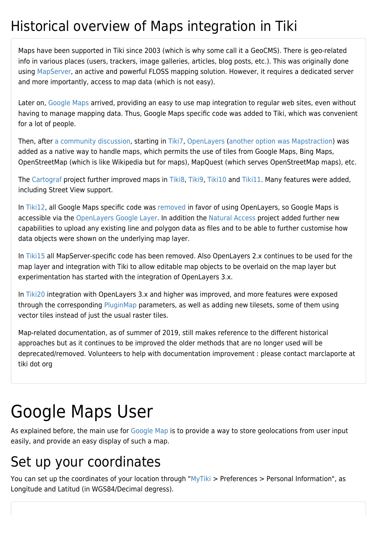## Historical overview of Maps integration in Tiki

Maps have been supported in Tiki since 2003 (which is why some call it a GeoCMS). There is geo-related info in various places (users, trackers, image galleries, articles, blog posts, etc.). This was originally done using [MapServer](http://mapserver.org/), an active and powerful FLOSS mapping solution. However, it requires a dedicated server and more importantly, access to map data (which is not easy).

Later on, [Google Maps](http://en.wikipedia.org/wiki/Google_Maps) arrived, providing an easy to use map integration to regular web sites, even without having to manage mapping data. Thus, Google Maps specific code was added to Tiki, which was convenient for a lot of people.

Then, after [a community discussion,](http://thread.gmane.org/gmane.comp.cms.tiki.devel/19297) starting in [Tiki7,](https://doc.tiki.org/Tiki7) [OpenLayers](https://doc.tiki.org/OpenLayers) ([another option was Mapstraction](https://www.ohloh.net/p/compare?metric=Summary&project_0=Mapstraction&project_1=&project_2=OpenLayers)) was added as a native way to handle maps, which permits the use of tiles from Google Maps, Bing Maps, OpenStreetMap (which is like Wikipedia but for maps), MapQuest (which serves OpenStreetMap maps), etc.

The [Cartograf](http://profiles.tiki.org/Cartograf) project further improved maps in [Tiki8,](https://doc.tiki.org/Tiki8) [Tiki9](https://doc.tiki.org/Tiki9), [Tiki10](https://doc.tiki.org/Tiki10) and [Tiki11](https://doc.tiki.org/Tiki11). Many features were added, including Street View support.

In [Tiki12](https://doc.tiki.org/Tiki12), all Google Maps specific code was [removed](http://dev.tiki.org/item4908) in favor of using OpenLayers, so Google Maps is accessible via the [OpenLayers Google Layer](http://openlayers.org/dev/examples/google.html). In addition the [Natural Access](http://www.naturalaccess.org.uk) project added further new capabilities to upload any existing line and polygon data as files and to be able to further customise how data objects were shown on the underlying map layer.

In [Tiki15](https://doc.tiki.org/Tiki15) all MapServer-specific code has been removed. Also OpenLayers 2.x continues to be used for the map layer and integration with Tiki to allow editable map objects to be overlaid on the map layer but experimentation has started with the integration of OpenLayers 3.x.

In [Tiki20](https://doc.tiki.org/Tiki20) integration with OpenLayers 3.x and higher was improved, and more features were exposed through the corresponding [PluginMap](https://doc.tiki.org/PluginMap) parameters, as well as adding new tilesets, some of them using vector tiles instead of just the usual raster tiles.

Map-related documentation, as of summer of 2019, still makes reference to the different historical approaches but as it continues to be improved the older methods that are no longer used will be deprecated/removed. Volunteers to help with documentation improvement : please contact marclaporte at tiki dot org

## Google Maps User

As explained before, the main use for [Google Map](https://doc.tiki.org/Gmap) is to provide a way to store geolocations from user input easily, and provide an easy display of such a map.

## Set up your coordinates

You can set up the coordinates of your location through ["MyTiki](https://doc.tiki.org/MyTiki) > Preferences > Personal Information", as Longitude and Latitud (in WGS84/Decimal degress).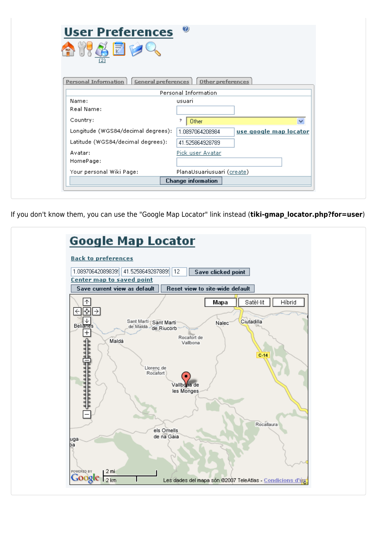| <b>User Preferences</b><br>(2)                     | $\odot$                    |                        |
|----------------------------------------------------|----------------------------|------------------------|
| <b>Personal Information</b><br>General preferences | Other preferences          |                        |
|                                                    | Personal Information       |                        |
| Name:                                              | usuari                     |                        |
| Real Name:                                         |                            |                        |
| Country:                                           | ,<br>Other                 | $\checkmark$           |
| Longitude (WGS84/decimal degrees):                 | 1.0897064208984            | use google map locator |
| Latitude (WGS84/decimal degrees):                  | 41.525864928789            |                        |
| Avatar:                                            | Pick user Avatar           |                        |
| HomePage:                                          |                            |                        |
| Your personal Wiki Page:                           | PlanaUsuariusuari (create) |                        |
|                                                    | <b>Change information</b>  |                        |

If you don't know them, you can use the "Google Map Locator" link instead (*tiki-gmap locator.php?for=user*)